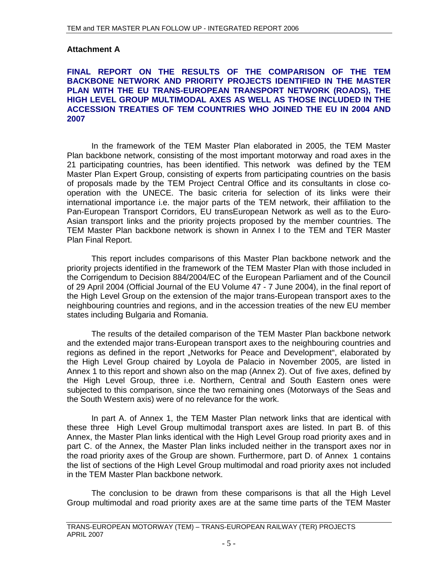# **Attachment A**

# **FINAL REPORT ON THE RESULTS OF THE COMPARISON OF THE TEM BACKBONE NETWORK AND PRIORITY PROJECTS IDENTIFIED IN THE MASTER PLAN WITH THE EU TRANS-EUROPEAN TRANSPORT NETWORK (ROADS), THE HIGH LEVEL GROUP MULTIMODAL AXES AS WELL AS THOSE INCLUDED IN THE ACCESSION TREATIES OF TEM COUNTRIES WHO JOINED THE EU IN 2004 AND 2007**

In the framework of the TEM Master Plan elaborated in 2005, the TEM Master Plan backbone network, consisting of the most important motorway and road axes in the 21 participating countries, has been identified. This network was defined by the TEM Master Plan Expert Group, consisting of experts from participating countries on the basis of proposals made by the TEM Project Central Office and its consultants in close cooperation with the UNECE. The basic criteria for selection of its links were their international importance i.e. the major parts of the TEM network, their affiliation to the Pan-European Transport Corridors, EU transEuropean Network as well as to the Euro-Asian transport links and the priority projects proposed by the member countries. The TEM Master Plan backbone network is shown in Annex I to the TEM and TER Master Plan Final Report.

This report includes comparisons of this Master Plan backbone network and the priority projects identified in the framework of the TEM Master Plan with those included in the Corrigendum to Decision 884/2004/EC of the European Parliament and of the Council of 29 April 2004 (Official Journal of the EU Volume 47 - 7 June 2004), in the final report of the High Level Group on the extension of the major trans-European transport axes to the neighbouring countries and regions, and in the accession treaties of the new EU member states including Bulgaria and Romania.

The results of the detailed comparison of the TEM Master Plan backbone network and the extended major trans-European transport axes to the neighbouring countries and regions as defined in the report "Networks for Peace and Development", elaborated by the High Level Group chaired by Loyola de Palacio in November 2005, are listed in Annex 1 to this report and shown also on the map (Annex 2). Out of five axes, defined by the High Level Group, three i.e. Northern, Central and South Eastern ones were subjected to this comparison, since the two remaining ones (Motorways of the Seas and the South Western axis) were of no relevance for the work.

In part A. of Annex 1, the TEM Master Plan network links that are identical with these three High Level Group multimodal transport axes are listed. In part B. of this Annex, the Master Plan links identical with the High Level Group road priority axes and in part C. of the Annex, the Master Plan links included neither in the transport axes nor in the road priority axes of the Group are shown. Furthermore, part D. of Annex 1 contains the list of sections of the High Level Group multimodal and road priority axes not included in the TEM Master Plan backbone network.

The conclusion to be drawn from these comparisons is that all the High Level Group multimodal and road priority axes are at the same time parts of the TEM Master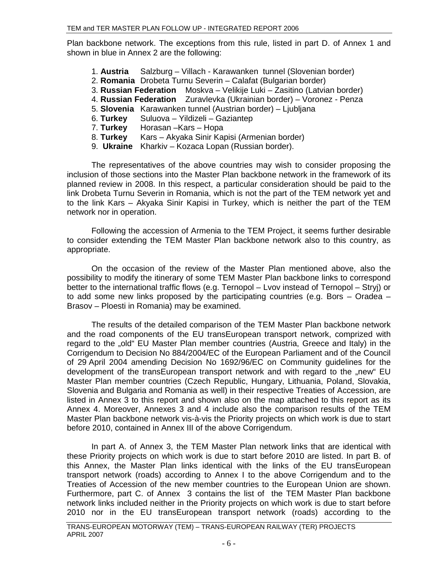Plan backbone network. The exceptions from this rule, listed in part D. of Annex 1 and shown in blue in Annex 2 are the following:

- 1. **Austria** Salzburg Villach Karawanken tunnel (Slovenian border)
- 2. **Romania** Drobeta Turnu Severin Calafat (Bulgarian border)
- 3. **Russian Federation** Moskva Velikije Luki Zasitino (Latvian border)
- 4. **Russian Federation** Zuravlevka (Ukrainian border) Voronez Penza
- 5. **Slovenia** Karawanken tunnel (Austrian border) Ljubljana
- 6. **Turkey** Suluova Yildizeli Gaziantep
- 7. **Turkey** Horasan –Kars Hopa
- 8. **Turkey** Kars Akyaka Sinir Kapisi (Armenian border)
- 9. **Ukraine** Kharkiv Kozaca Lopan (Russian border).

The representatives of the above countries may wish to consider proposing the inclusion of those sections into the Master Plan backbone network in the framework of its planned review in 2008. In this respect, a particular consideration should be paid to the link Drobeta Turnu Severin in Romania, which is not the part of the TEM network yet and to the link Kars – Akyaka Sinir Kapisi in Turkey, which is neither the part of the TEM network nor in operation.

Following the accession of Armenia to the TEM Project, it seems further desirable to consider extending the TEM Master Plan backbone network also to this country, as appropriate.

On the occasion of the review of the Master Plan mentioned above, also the possibility to modify the itinerary of some TEM Master Plan backbone links to correspond better to the international traffic flows (e.g. Ternopol – Lvov instead of Ternopol – Stryj) or to add some new links proposed by the participating countries (e.g. Bors – Oradea – Brasov – Ploesti in Romania) may be examined.

The results of the detailed comparison of the TEM Master Plan backbone network and the road components of the EU transEuropean transport network, comprized with regard to the "old" EU Master Plan member countries (Austria, Greece and Italy) in the Corrigendum to Decision No 884/2004/EC of the European Parliament and of the Council of 29 April 2004 amending Decision No 1692/96/EC on Community guidelines for the development of the transEuropean transport network and with regard to the "new" EU Master Plan member countries (Czech Republic, Hungary, Lithuania, Poland, Slovakia, Slovenia and Bulgaria and Romania as well) in their respective Treaties of Accession, are listed in Annex 3 to this report and shown also on the map attached to this report as its Annex 4. Moreover, Annexes 3 and 4 include also the comparison results of the TEM Master Plan backbone network vis-à-vis the Priority projects on which work is due to start before 2010, contained in Annex III of the above Corrigendum.

In part A. of Annex 3, the TEM Master Plan network links that are identical with these Priority projects on which work is due to start before 2010 are listed. In part B. of this Annex, the Master Plan links identical with the links of the EU transEuropean transport network (roads) according to Annex I to the above Corrigendum and to the Treaties of Accession of the new member countries to the European Union are shown. Furthermore, part C. of Annex 3 contains the list of the TEM Master Plan backbone network links included neither in the Priority projects on which work is due to start before 2010 nor in the EU transEuropean transport network (roads) according to the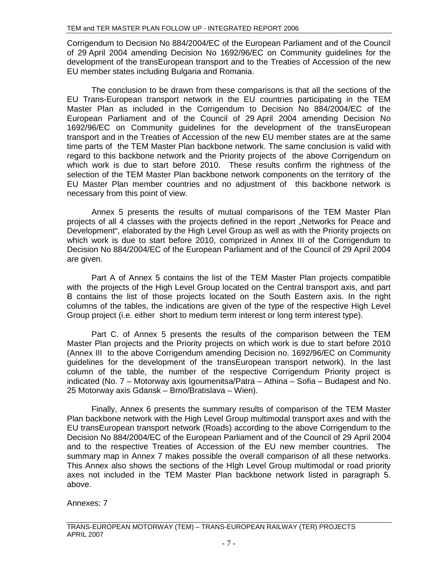Corrigendum to Decision No 884/2004/EC of the European Parliament and of the Council of 29 April 2004 amending Decision No 1692/96/EC on Community guidelines for the development of the transEuropean transport and to the Treaties of Accession of the new EU member states including Bulgaria and Romania.

The conclusion to be drawn from these comparisons is that all the sections of the EU Trans-European transport network in the EU countries participating in the TEM Master Plan as included in the Corrigendum to Decision No 884/2004/EC of the European Parliament and of the Council of 29 April 2004 amending Decision No 1692/96/EC on Community guidelines for the development of the transEuropean transport and in the Treaties of Accession of the new EU member states are at the same time parts of the TEM Master Plan backbone network. The same conclusion is valid with regard to this backbone network and the Priority projects of the above Corrigendum on which work is due to start before 2010. These results confirm the rightness of the selection of the TEM Master Plan backbone network components on the territory of the EU Master Plan member countries and no adjustment of this backbone network is necessary from this point of view.

Annex 5 presents the results of mutual comparisons of the TEM Master Plan projects of all 4 classes with the projects defined in the report "Networks for Peace and Development", elaborated by the High Level Group as well as with the Priority projects on which work is due to start before 2010, comprized in Annex III of the Corrigendum to Decision No 884/2004/EC of the European Parliament and of the Council of 29 April 2004 are given.

Part A of Annex 5 contains the list of the TEM Master Plan projects compatible with the projects of the High Level Group located on the Central transport axis, and part B contains the list of those projects located on the South Eastern axis. In the right columns of the tables, the indications are given of the type of the respective High Level Group project (i.e. either short to medium term interest or long term interest type).

Part C. of Annex 5 presents the results of the comparison between the TEM Master Plan projects and the Priority projects on which work is due to start before 2010 (Annex III to the above Corrigendum amending Decision no. 1692/96/EC on Community guidelines for the development of the transEuropean transport network). In the last column of the table, the number of the respective Corrigendum Priority project is indicated (No. 7 – Motorway axis Igoumenitsa/Patra – Athina – Sofia – Budapest and No. 25 Motorway axis Gdansk – Brno/Bratislava – Wien).

Finally, Annex 6 presents the summary results of comparison of the TEM Master Plan backbone network with the High Level Group multimodal transport axes and with the EU transEuropean transport network (Roads) according to the above Corrigendum to the Decision No 884/2004/EC of the European Parliament and of the Council of 29 April 2004 and to the respective Treaties of Accession of the EU new member countries. The summary map in Annex 7 makes possible the overall comparison of all these networks. This Annex also shows the sections of the HIgh Level Group multimodal or road priority axes not included in the TEM Master Plan backbone network listed in paragraph 5. above.

Annexes: 7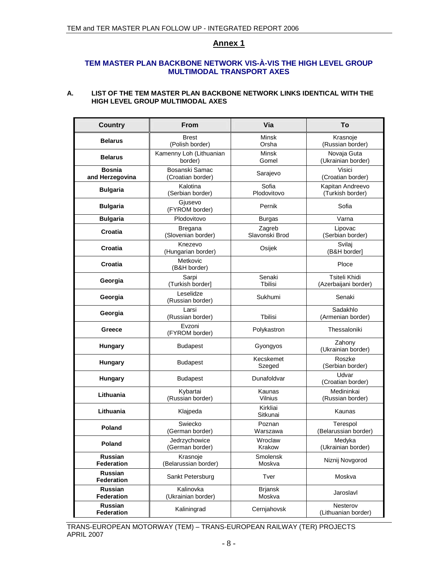## **TEM MASTER PLAN BACKBONE NETWORK VIS-À-VIS THE HIGH LEVEL GROUP MULTIMODAL TRANSPORT AXES**

## **A. LIST OF THE TEM MASTER PLAN BACKBONE NETWORK LINKS IDENTICAL WITH THE HIGH LEVEL GROUP MULTIMODAL AXES**

| <b>Country</b>                   | <b>From</b>                          | Via                      | To                                           |
|----------------------------------|--------------------------------------|--------------------------|----------------------------------------------|
| <b>Belarus</b>                   | <b>Brest</b><br>(Polish border)      | Minsk<br>Orsha           | Krasnoje<br>(Russian border)                 |
| <b>Belarus</b>                   | Kamenny Loh (Lithuanian<br>border)   | Minsk<br>Gomel           | Novaja Guta<br>(Ukrainian border)            |
| <b>Bosnia</b><br>and Herzegovina | Bosanski Samac<br>(Croatian border)  | Sarajevo                 | <b>Visici</b><br>(Croatian border)           |
| <b>Bulgaria</b>                  | Kalotina<br>(Serbian border)         | Sofia<br>Plodovitovo     | Kapitan Andreevo<br>(Turkish border)         |
| <b>Bulgaria</b>                  | Giusevo<br>(FYROM border)            | Pernik                   | Sofia                                        |
| <b>Bulgaria</b>                  | Plodovitovo                          | <b>Burgas</b>            | Varna                                        |
| Croatia                          | <b>Bregana</b><br>(Slovenian border) | Zagreb<br>Slavonski Brod | Lipovac<br>(Serbian border)                  |
| Croatia                          | Knezevo<br>(Hungarian border)        | Osijek                   | Svilaj<br>(B&H border]                       |
| Croatia                          | Metkovic<br>(B&H border)             |                          | Ploce                                        |
| Georgia                          | Sarpi<br>(Turkish border)            | Senaki<br>Tbilisi        | <b>Tsiteli Khidi</b><br>(Azerbaijani border) |
| Georgia                          | Leselidze<br>(Russian border)        | Sukhumi                  | Senaki                                       |
| Georgia                          | Larsi<br>(Russian border)            | <b>T</b> bilisi          | Sadakhlo<br>(Armenian border)                |
| Greece                           | Evzoni<br>(FYROM border)             | Polykastron              | Thessaloniki                                 |
| Hungary                          | <b>Budapest</b>                      | Gyongyos                 | Zahony<br>(Ukrainian border)                 |
| Hungary                          | <b>Budapest</b>                      | Kecskemet<br>Szeged      | Roszke<br>(Serbian border)                   |
| <b>Hungary</b>                   | <b>Budapest</b>                      | Dunafoldvar              | Udvar<br>(Croatian border)                   |
| Lithuania                        | Kybartai<br>(Russian border)         | Kaunas<br>Vilnius        | Medininkai<br>(Russian border)               |
| Lithuania                        | Klajpeda                             | Kirkliai<br>Sitkunai     | Kaunas                                       |
| <b>Poland</b>                    | Swiecko<br>(German border)           | Poznan<br>Warszawa       | Terespol<br>(Belarussian border)             |
| Poland                           | Jedrzychowice<br>(German border)     | Wroclaw<br>Krakow        | Medyka<br>(Ukrainian border)                 |
| Russian<br><b>Federation</b>     | Krasnoje<br>(Belarussian border)     | Smolensk<br>Moskva       | Niznij Novgorod                              |
| Russian<br><b>Federation</b>     | Sankt Petersburg                     | Tver                     | Moskva                                       |
| Russian<br>Federation            | Kalinovka<br>(Ukrainian border)      | <b>Brjansk</b><br>Moskva | Jaroslavl                                    |
| Russian<br>Federation            | Kaliningrad                          | Cernjahovsk              | Nesterov<br>(Lithuanian border)              |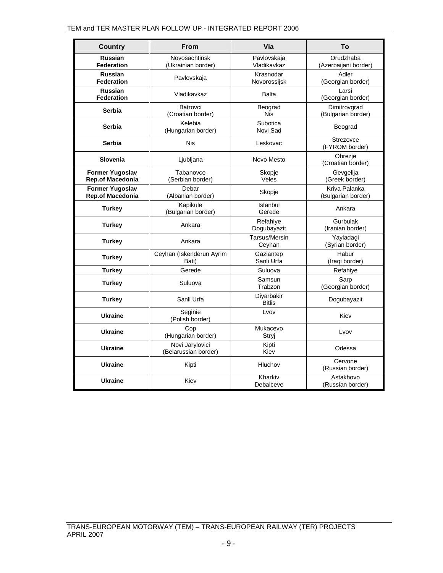| <b>Country</b>                                    | <b>From</b>                             | Via                         | Τo                                  |
|---------------------------------------------------|-----------------------------------------|-----------------------------|-------------------------------------|
| <b>Russian</b><br><b>Federation</b>               | Novosachtinsk<br>(Ukrainian border)     | Pavlovskaja<br>Vladikavkaz  | Orudzhaba<br>(Azerbaijani border)   |
| <b>Russian</b><br><b>Federation</b>               | Pavlovskaja                             | Krasnodar<br>Novorossijsk   | Adler<br>(Georgian border)          |
| <b>Russian</b><br><b>Federation</b>               | Vladikavkaz                             | <b>Balta</b>                | Larsi<br>(Georgian border)          |
| Serbia                                            | Batrovci<br>(Croatian border)           | Beograd<br><b>Nis</b>       | Dimitrovgrad<br>(Bulgarian border)  |
| Serbia                                            | Kelebia<br>(Hungarian border)           | Subotica<br>Novi Sad        | Beograd                             |
| Serbia                                            | <b>Nis</b>                              | Leskovac                    | Strezovce<br>(FYROM border)         |
| Slovenia                                          | Ljubljana                               | Novo Mesto                  | Obrezje<br>(Croatian border)        |
| <b>Former Yugoslav</b><br><b>Rep.of Macedonia</b> | Tabanovce<br>(Serbian border)           | Skopje<br>Veles             | Gevgelija<br>(Greek border)         |
| <b>Former Yugoslav</b><br>Rep.of Macedonia        | Debar<br>(Albanian border)              | Skopje                      | Kriva Palanka<br>(Bulgarian border) |
| <b>Turkey</b>                                     | Kapikule<br>(Bulgarian border)          | Istanbul<br>Gerede          | Ankara                              |
| <b>Turkey</b>                                     | Ankara                                  | Refahiye<br>Dogubayazit     | Gurbulak<br>(Iranian border)        |
| <b>Turkey</b>                                     | Ankara                                  | Tarsus/Mersin<br>Ceyhan     | Yayladagi<br>(Syrian border)        |
| Turkey                                            | Ceyhan (Iskenderun Ayrim<br>Bati)       | Gaziantep<br>Sanli Urfa     | Habur<br>(Iraqi border)             |
| Turkey                                            | Gerede                                  | Suluova                     | Refahiye                            |
| Turkey                                            | Suluova                                 | Samsun<br>Trabzon           | Sarp<br>(Georgian border)           |
| <b>Turkey</b>                                     | Sanli Urfa                              | Diyarbakir<br><b>Bitlis</b> | Dogubayazit                         |
| <b>Ukraine</b>                                    | Seginie<br>(Polish border)              | Lvov                        | Kiev                                |
| <b>Ukraine</b>                                    | Cop<br>(Hungarian border)               | Mukacevo<br>Stryj           | Lvov                                |
| <b>Ukraine</b>                                    | Novi Jarylovici<br>(Belarussian border) | Kipti<br>Kiev               | Odessa                              |
| <b>Ukraine</b>                                    | Kipti                                   | Hluchov                     | Cervone<br>(Russian border)         |
| <b>Ukraine</b>                                    | Kiev                                    | Kharkiv<br>Debalceve        | Astakhovo<br>(Russian border)       |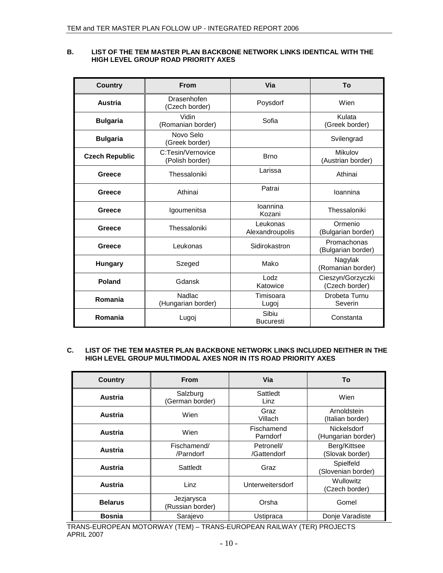### **B. LIST OF THE TEM MASTER PLAN BACKBONE NETWORK LINKS IDENTICAL WITH THE HIGH LEVEL GROUP ROAD PRIORITY AXES**

| <b>Country</b>        | <b>From</b>                          | Via                         | To                                  |
|-----------------------|--------------------------------------|-----------------------------|-------------------------------------|
| <b>Austria</b>        | Drasenhofen<br>(Czech border)        | Poysdorf                    | Wien                                |
| <b>Bulgaria</b>       | Vidin<br>(Romanian border)           | Sofia                       | Kulata<br>(Greek border)            |
| <b>Bulgaria</b>       | Novo Selo<br>(Greek border)          |                             | Svilengrad                          |
| <b>Czech Republic</b> | C:Tesin/Vernovice<br>(Polish border) | <b>Brno</b>                 | Mikulov<br>(Austrian border)        |
| Greece                | Thessaloniki                         | Larissa                     | Athinai                             |
| Greece                | Athinai                              | Patrai                      | Ioannina                            |
| Greece                | Igoumenitsa                          | loannina<br>Kozani          | Thessaloniki                        |
| Greece                | Thessaloniki                         | Leukonas<br>Alexandroupolis | Ormenio<br>(Bulgarian border)       |
| Greece                | Leukonas                             | Sidirokastron               | Promachonas<br>(Bulgarian border)   |
| <b>Hungary</b>        | Szeged                               | Mako                        | Nagylak<br>(Romanian border)        |
| Poland                | Gdansk                               | Lodz<br>Katowice            | Cieszyn/Gorzyczki<br>(Czech border) |
| Romania               | Nadlac<br>(Hungarian border)         | Timisoara<br>Lugoj          | Drobeta Turnu<br>Severin            |
| Romania               | Lugoj                                | Sibiu<br><b>Bucuresti</b>   | Constanta                           |

#### **C. LIST OF THE TEM MASTER PLAN BACKBONE NETWORK LINKS INCLUDED NEITHER IN THE HIGH LEVEL GROUP MULTIMODAL AXES NOR IN ITS ROAD PRIORITY AXES**

| <b>Country</b> | <b>From</b>                    | <b>Via</b>                | To                                       |
|----------------|--------------------------------|---------------------------|------------------------------------------|
| Austria        | Salzburg<br>(German border)    | Sattledt<br>Linz          | Wien                                     |
| Austria        | Wien                           | Graz<br>Villach           | Arnoldstein<br>(Italian border)          |
| Austria        | Wien                           | Fischamend<br>Parndorf    | <b>Nickelsdorf</b><br>(Hungarian border) |
| Austria        | Fischamend/<br>/Parndorf       | Petronell/<br>/Gattendorf | Berg/Kittsee<br>(Slovak border)          |
| Austria        | Sattledt                       | Graz                      | Spielfeld<br>(Slovenian border)          |
| Austria        | Linz                           | Unterweitersdorf          | Wullowitz<br>(Czech border)              |
| <b>Belarus</b> | Jezjarysca<br>(Russian border) | Orsha                     | Gomel                                    |
| <b>Bosnia</b>  | Sarajevo                       | Ustipraca                 | Donie Varadiste                          |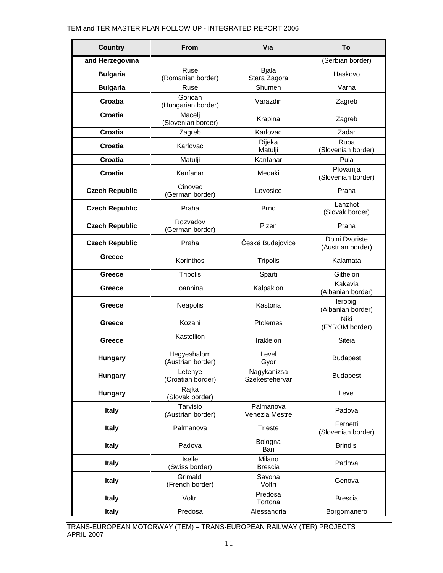| <b>Country</b>        | <b>From</b>                      | Via                           | To                                  |
|-----------------------|----------------------------------|-------------------------------|-------------------------------------|
| and Herzegovina       |                                  |                               | (Serbian border)                    |
| <b>Bulgaria</b>       | Ruse<br>(Romanian border)        | <b>Bjala</b><br>Stara Zagora  | Haskovo                             |
| <b>Bulgaria</b>       | Ruse                             | Shumen                        | Varna                               |
| <b>Croatia</b>        | Gorican<br>(Hungarian border)    | Varazdin                      | Zagreb                              |
| <b>Croatia</b>        | Macelj<br>(Slovenian border)     | Krapina                       | Zagreb                              |
| Croatia               | Zagreb                           | Karlovac                      | Zadar                               |
| <b>Croatia</b>        | Karlovac                         | Rijeka<br>Matulji             | Rupa<br>(Slovenian border)          |
| <b>Croatia</b>        | Matulji                          | Kanfanar                      | Pula                                |
| Croatia               | Kanfanar                         | Medaki                        | Plovanija<br>(Slovenian border)     |
| <b>Czech Republic</b> | Cinovec<br>(German border)       | Lovosice                      | Praha                               |
| <b>Czech Republic</b> | Praha                            | <b>Brno</b>                   | Lanzhot<br>(Slovak border)          |
| <b>Czech Republic</b> | Rozvadov<br>(German border)      | Plzen                         | Praha                               |
| <b>Czech Republic</b> | Praha                            | České Budejovice              | Dolni Dvoriste<br>(Austrian border) |
| Greece                | Korinthos                        | <b>Tripolis</b>               | Kalamata                            |
| Greece                | <b>Tripolis</b>                  | Sparti                        | Githeion                            |
| Greece                | Ioannina                         | Kalpakion                     | Kakavia<br>(Albanian border)        |
| Greece                | Neapolis                         | Kastoria                      | leropigi<br>(Albanian border)       |
| Greece                | Kozani                           | Ptolemes                      | Niki<br>(FYROM border)              |
| Greece                | Kastellion                       | Irakleion                     | Siteia                              |
| <b>Hungary</b>        | Hegyeshalom<br>(Austrian border) | Level<br>Gyor                 | <b>Budapest</b>                     |
| Hungary               | Letenye<br>(Croatian border)     | Nagykanizsa<br>Szekesfehervar | <b>Budapest</b>                     |
| Hungary               | Rajka<br>(Slovak border)         |                               | Level                               |
| <b>Italy</b>          | Tarvisio<br>(Austrian border)    | Palmanova<br>Venezia Mestre   | Padova                              |
| <b>Italy</b>          | Palmanova                        | <b>Trieste</b>                | Fernetti<br>(Slovenian border)      |
| <b>Italy</b>          | Padova                           | Bologna<br>Bari               | <b>Brindisi</b>                     |
| <b>Italy</b>          | Iselle<br>(Swiss border)         | Milano<br><b>Brescia</b>      | Padova                              |
| <b>Italy</b>          | Grimaldi<br>(French border)      | Savona<br>Voltri              | Genova                              |
| <b>Italy</b>          | Voltri                           | Predosa<br>Tortona            | <b>Brescia</b>                      |
| <b>Italy</b>          | Predosa                          | Alessandria                   | Borgomanero                         |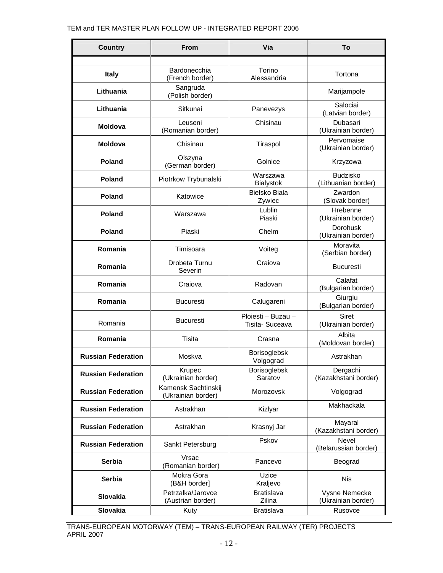| <b>Country</b>            | <b>From</b>                               | Via                                   | To                                     |
|---------------------------|-------------------------------------------|---------------------------------------|----------------------------------------|
|                           |                                           |                                       |                                        |
| <b>Italy</b>              | Bardonecchia<br>(French border)           | Torino<br>Alessandria                 | Tortona                                |
| Lithuania                 | Sangruda<br>(Polish border)               |                                       | Marijampole                            |
| Lithuania                 | Sitkunai                                  | Panevezys                             | Salociai<br>(Latvian border)           |
| <b>Moldova</b>            | Leuseni<br>(Romanian border)              | Chisinau                              | Dubasari<br>(Ukrainian border)         |
| <b>Moldova</b>            | Chisinau                                  | Tiraspol                              | Pervomaise<br>(Ukrainian border)       |
| <b>Poland</b>             | Olszyna<br>(German border)                | Golnice                               | Krzyzowa                               |
| <b>Poland</b>             | Piotrkow Trybunalski                      | Warszawa<br><b>Bialystok</b>          | <b>Budzisko</b><br>(Lithuanian border) |
| <b>Poland</b>             | Katowice                                  | Bielsko Biala<br>Zywiec               | Zwardon<br>(Slovak border)             |
| Poland                    | Warszawa                                  | Lublin<br>Piaski                      | Hrebenne<br>(Ukrainian border)         |
| <b>Poland</b>             | Piaski                                    | Chelm                                 | <b>Dorohusk</b><br>(Ukrainian border)  |
| Romania                   | Timisoara                                 | Voiteg                                | Moravita<br>(Serbian border)           |
| Romania                   | Drobeta Turnu<br>Severin                  | Craiova                               | <b>Bucuresti</b>                       |
| Romania                   | Craiova                                   | Radovan                               | Calafat<br>(Bulgarian border)          |
| Romania                   | <b>Bucuresti</b>                          | Calugareni                            | Giurgiu<br>(Bulgarian border)          |
| Romania                   | <b>Bucuresti</b>                          | Ploiesti - Buzau -<br>Tisita- Suceava | <b>Siret</b><br>(Ukrainian border)     |
| Romania                   | Tisita                                    | Crasna                                | Albita<br>(Moldovan border)            |
| <b>Russian Federation</b> | Moskva                                    | <b>Borisoglebsk</b><br>Volgograd      | Astrakhan                              |
| <b>Russian Federation</b> | Krupec<br>(Ukrainian border)              | Borisoglebsk<br>Saratov               | Dergachi<br>(Kazakhstani border)       |
| <b>Russian Federation</b> | Kamensk Sachtinskij<br>(Ukrainian border) | Morozovsk                             | Volgograd                              |
| <b>Russian Federation</b> | Astrakhan                                 | Kizlyar                               | Makhackala                             |
| <b>Russian Federation</b> | Astrakhan                                 | Krasnyj Jar                           | Mayaral<br>(Kazakhstani border)        |
| <b>Russian Federation</b> | Sankt Petersburg                          | Pskov                                 | Nevel<br>(Belarussian border)          |
| <b>Serbia</b>             | Vrsac<br>(Romanian border)                | Pancevo                               | Beograd                                |
| <b>Serbia</b>             | Mokra Gora<br>(B&H border]                | Uzice<br>Kraljevo                     | <b>Nis</b>                             |
| <b>Slovakia</b>           | Petrzalka/Jarovce<br>(Austrian border)    | <b>Bratislava</b><br>Zilina           | Vysne Nemecke<br>(Ukrainian border)    |
| Slovakia                  | Kuty                                      | <b>Bratislava</b>                     | Rusovce                                |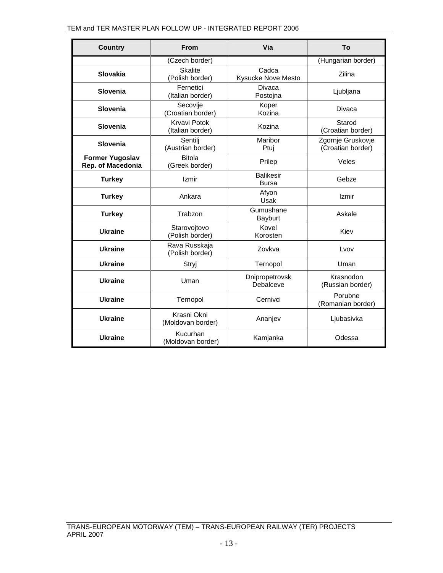| <b>Country</b>                              | <b>From</b>                             | Via                                | To                                     |
|---------------------------------------------|-----------------------------------------|------------------------------------|----------------------------------------|
|                                             | (Czech border)                          |                                    | (Hungarian border)                     |
| Slovakia                                    | <b>Skalite</b><br>(Polish border)       | Cadca<br><b>Kysucke Nove Mesto</b> | Zilina                                 |
| Slovenia                                    | Fernetici<br>(Italian border)           | Divaca<br>Postojna                 | Ljubljana                              |
| Slovenia                                    | Secovlje<br>(Croatian border)           | Koper<br>Kozina                    | <b>Divaca</b>                          |
| Slovenia                                    | <b>Krvavi Potok</b><br>(Italian border) | Kozina                             | Starod<br>(Croatian border)            |
| Slovenia                                    | Sentili<br>(Austrian border)            | Maribor<br>Ptui                    | Zgornje Gruskovje<br>(Croatian border) |
| <b>Former Yugoslav</b><br>Rep. of Macedonia | <b>Bitola</b><br>(Greek border)         | Prilep                             | Veles                                  |
| <b>Turkey</b>                               | Izmir                                   | <b>Balikesir</b><br><b>Bursa</b>   | Gebze                                  |
| <b>Turkey</b>                               | Ankara                                  | Afyon<br>Usak                      | Izmir                                  |
| <b>Turkey</b>                               | Trabzon                                 | Gumushane<br>Bayburt               | Askale                                 |
| <b>Ukraine</b>                              | Starovojtovo<br>(Polish border)         | Kovel<br>Korosten                  | Kiev                                   |
| <b>Ukraine</b>                              | Rava Russkaja<br>(Polish border)        | Zovkva                             | Lvov                                   |
| <b>Ukraine</b>                              | Stryj                                   | Ternopol                           | Uman                                   |
| <b>Ukraine</b>                              | Uman                                    | Dnipropetrovsk<br>Debalceve        | Krasnodon<br>(Russian border)          |
| <b>Ukraine</b>                              | Ternopol                                | Cernivci                           | Porubne<br>(Romanian border)           |
| <b>Ukraine</b>                              | Krasni Okni<br>(Moldovan border)        | Ananjev                            | Ljubasivka                             |
| <b>Ukraine</b>                              | Kucurhan<br>(Moldovan border)           | Kamjanka                           | Odessa                                 |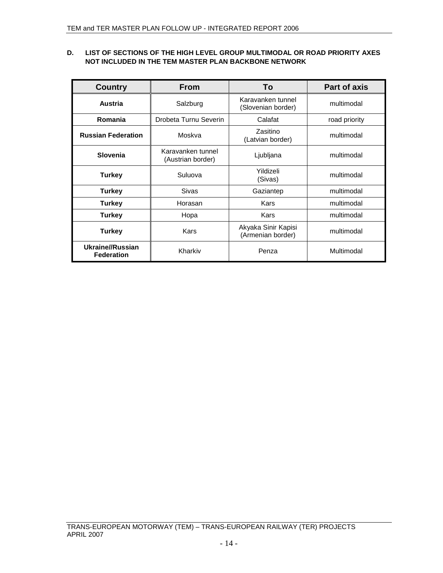# **D. LIST OF SECTIONS OF THE HIGH LEVEL GROUP MULTIMODAL OR ROAD PRIORITY AXES NOT INCLUDED IN THE TEM MASTER PLAN BACKBONE NETWORK**

| <b>Country</b>                        | <b>From</b>                            | To                                       | <b>Part of axis</b> |
|---------------------------------------|----------------------------------------|------------------------------------------|---------------------|
| Austria                               | Salzburg                               | Karavanken tunnel<br>(Slovenian border)  | multimodal          |
| Romania                               | Drobeta Turnu Severin                  | Calafat                                  | road priority       |
| <b>Russian Federation</b>             | Moskva                                 | Zasitino<br>(Latvian border)             | multimodal          |
| Slovenia                              | Karavanken tunnel<br>(Austrian border) | Ljubljana                                | multimodal          |
| <b>Turkey</b>                         | Suluova                                | Yildizeli<br>(Sivas)                     | multimodal          |
| <b>Turkey</b>                         | Sivas                                  | Gaziantep                                | multimodal          |
| <b>Turkey</b>                         | Horasan                                | Kars                                     | multimodal          |
| <b>Turkey</b>                         | Hopa                                   | Kars                                     | multimodal          |
| <b>Turkey</b>                         | Kars                                   | Akyaka Sinir Kapisi<br>(Armenian border) | multimodal          |
| Ukraine//Russian<br><b>Federation</b> | Kharkiv                                | Penza                                    | Multimodal          |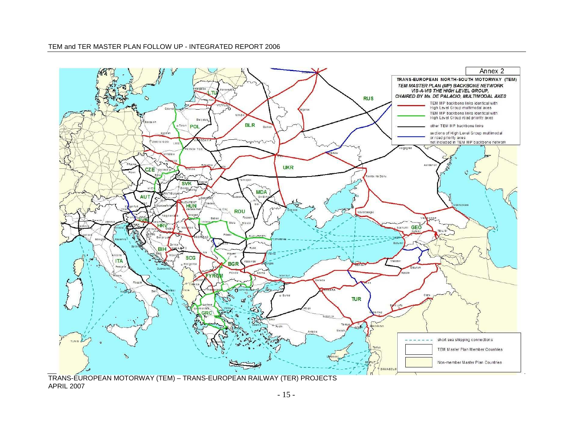

TRANS-EUROPEAN MOTORWAY (TEM) – TRANS-EUROPEAN RAILWAY (TER) PROJECTS APRIL 2007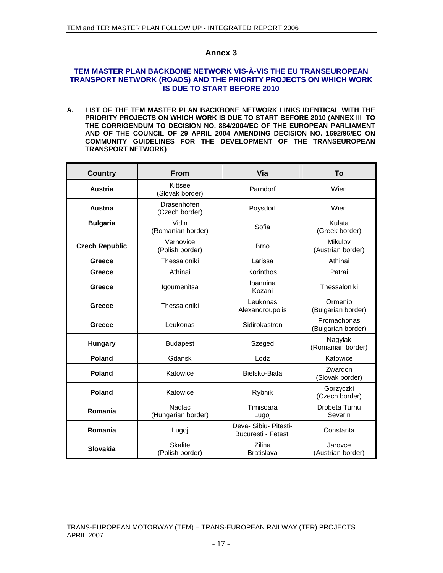## **TEM MASTER PLAN BACKBONE NETWORK VIS-À-VIS THE EU TRANSEUROPEAN TRANSPORT NETWORK (ROADS) AND THE PRIORITY PROJECTS ON WHICH WORK IS DUE TO START BEFORE 2010**

**A. LIST OF THE TEM MASTER PLAN BACKBONE NETWORK LINKS IDENTICAL WITH THE PRIORITY PROJECTS ON WHICH WORK IS DUE TO START BEFORE 2010 (ANNEX III TO THE CORRIGENDUM TO DECISION NO. 884/2004/EC OF THE EUROPEAN PARLIAMENT AND OF THE COUNCIL OF 29 APRIL 2004 AMENDING DECISION NO. 1692/96/EC ON COMMUNITY GUIDELINES FOR THE DEVELOPMENT OF THE TRANSEUROPEAN TRANSPORT NETWORK)** 

| <b>Country</b>        | <b>From</b>                       | Via                                          | To                                |
|-----------------------|-----------------------------------|----------------------------------------------|-----------------------------------|
| <b>Austria</b>        | Kittsee<br>(Slovak border)        | Parndorf                                     | Wien                              |
| <b>Austria</b>        | Drasenhofen<br>(Czech border)     | Poysdorf                                     | Wien                              |
| <b>Bulgaria</b>       | Vidin<br>(Romanian border)        | Sofia                                        | Kulata<br>(Greek border)          |
| <b>Czech Republic</b> | Vernovice<br>(Polish border)      | <b>Brno</b>                                  | Mikulov<br>(Austrian border)      |
| Greece                | Thessaloniki                      | Larissa                                      | Athinai                           |
| Greece                | Athinai                           | Korinthos                                    | Patrai                            |
| Greece                | Igoumenitsa                       | Ioannina<br>Kozani                           | Thessaloniki                      |
| Greece                | Thessaloniki                      | Leukonas<br>Alexandroupolis                  | Ormenio<br>(Bulgarian border)     |
| Greece                | Leukonas                          | Sidirokastron                                | Promachonas<br>(Bulgarian border) |
| <b>Hungary</b>        | <b>Budapest</b>                   | Szeged                                       | Nagylak<br>(Romanian border)      |
| Poland                | Gdansk                            | Lodz                                         | Katowice                          |
| Poland                | Katowice                          | Bielsko-Biala                                | Zwardon<br>(Slovak border)        |
| Poland                | Katowice                          | Rybnik                                       | Gorzyczki<br>(Czech border)       |
| Romania               | Nadlac<br>(Hungarian border)      | Timisoara<br>Lugoj                           | Drobeta Turnu<br>Severin          |
| Romania               | Lugoj                             | Deva- Sibiu- Pitesti-<br>Bucuresti - Fetesti | Constanta                         |
| Slovakia              | <b>Skalite</b><br>(Polish border) | Zilina<br><b>Bratislava</b>                  | Jarovce<br>(Austrian border)      |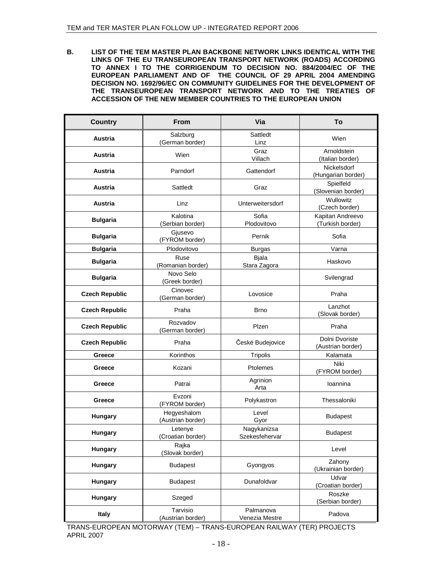**B. LIST OF THE TEM MASTER PLAN BACKBONE NETWORK LINKS IDENTICAL WITH THE LINKS OF THE EU TRANSEUROPEAN TRANSPORT NETWORK (ROADS) ACCORDING TO ANNEX I TO THE CORRIGENDUM TO DECISION NO. 884/2004/EC OF THE EUROPEAN PARLIAMENT AND OF THE COUNCIL OF 29 APRIL 2004 AMENDING DECISION NO. 1692/96/EC ON COMMUNITY GUIDELINES FOR THE DEVELOPMENT OF THE TRANSEUROPEAN TRANSPORT NETWORK AND TO THE TREATIES OF ACCESSION OF THE NEW MEMBER COUNTRIES TO THE EUROPEAN UNION** 

| <b>Country</b>        | From                             | Via                           | To                                   |
|-----------------------|----------------------------------|-------------------------------|--------------------------------------|
| Austria               | Salzburg<br>(German border)      | Sattledt<br>Linz              | Wien                                 |
| Austria               | Wien                             | Graz<br>Villach               | Arnoldstein<br>(Italian border)      |
| Austria               | Parndorf                         | Gattendorf                    | Nickelsdorf<br>(Hungarian border)    |
| Austria               | Sattledt                         | Graz                          | Spielfeld<br>(Slovenian border)      |
| Austria               | Linz                             | Unterweitersdorf              | Wullowitz<br>(Czech border)          |
| <b>Bulgaria</b>       | Kalotina<br>(Serbian border)     | Sofia<br>Plodovitovo          | Kapitan Andreevo<br>(Turkish border) |
| <b>Bulgaria</b>       | Gjusevo<br>(FYROM border)        | Pernik                        | Sofia                                |
| <b>Bulgaria</b>       | Plodovitovo                      | <b>Burgas</b>                 | Varna                                |
| <b>Bulgaria</b>       | Ruse<br>(Romanian border)        | <b>Bjala</b><br>Stara Zagora  | Haskovo                              |
| <b>Bulgaria</b>       | Novo Selo<br>(Greek border)      |                               | Svilengrad                           |
| <b>Czech Republic</b> | Cinovec<br>(German border)       | Lovosice                      | Praha                                |
| <b>Czech Republic</b> | Praha                            | <b>Brno</b>                   | Lanzhot<br>(Slovak border)           |
| <b>Czech Republic</b> | Rozvadov<br>(German border)      | Plzen                         | Praha                                |
| <b>Czech Republic</b> | Praha                            | České Budejovice              | Dolni Dvoriste<br>(Austrian border)  |
| Greece                | Korinthos                        | Tripolis                      | Kalamata                             |
| Greece                | Kozani                           | Ptolemes                      | Niki<br>(FYROM border)               |
| Greece                | Patrai                           | Agrinion<br>Arta              | Ioannina                             |
| Greece                | Evzoni<br>(FYROM border)         | Polykastron                   | Thessaloniki                         |
| Hungary               | Hegyeshalom<br>(Austrian border) | Level<br>Gyor                 | <b>Budapest</b>                      |
| Hungary               | Letenye<br>(Croatian border)     | Nagykanizsa<br>Szekesfehervar | <b>Budapest</b>                      |
| Hungary               | Rajka<br>(Slovak border)         |                               | Level                                |
| Hungary               | <b>Budapest</b>                  | Gyongyos                      | Zahony<br>(Ukrainian border)         |
| Hungary               | <b>Budapest</b>                  | Dunafoldvar                   | Udvar<br>(Croatian border)           |
| Hungary               | Szeged                           |                               | Roszke<br>(Serbian border)           |
| <b>Italy</b>          | Tarvisio<br>(Austrian border)    | Palmanova<br>Venezia Mestre   | Padova                               |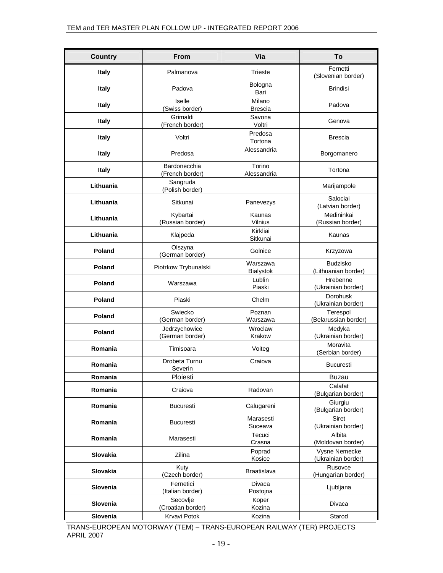| <b>Country</b>  | <b>From</b>                      | Via                          | To                                     |
|-----------------|----------------------------------|------------------------------|----------------------------------------|
| <b>Italy</b>    | Palmanova                        | <b>Trieste</b>               | Fernetti<br>(Slovenian border)         |
| <b>Italy</b>    | Padova                           | Bologna<br>Bari              | <b>Brindisi</b>                        |
| <b>Italy</b>    | Iselle<br>(Swiss border)         | Milano<br><b>Brescia</b>     | Padova                                 |
| <b>Italy</b>    | Grimaldi<br>(French border)      | Savona<br>Voltri             | Genova                                 |
| <b>Italy</b>    | Voltri                           | Predosa<br>Tortona           | <b>Brescia</b>                         |
| <b>Italy</b>    | Predosa                          | Alessandria                  | Borgomanero                            |
| Italy           | Bardonecchia<br>(French border)  | Torino<br>Alessandria        | Tortona                                |
| Lithuania       | Sangruda<br>(Polish border)      |                              | Marijampole                            |
| Lithuania       | Sitkunai                         | Panevezys                    | Salociai<br>(Latvian border)           |
| Lithuania       | Kybartai<br>(Russian border)     | Kaunas<br>Vilnius            | Medininkai<br>(Russian border)         |
| Lithuania       | Klajpeda                         | Kirkliai<br>Sitkunai         | Kaunas                                 |
| Poland          | Olszyna<br>(German border)       | Golnice                      | Krzyzowa                               |
| Poland          | Piotrkow Trybunalski             | Warszawa<br><b>Bialystok</b> | <b>Budzisko</b><br>(Lithuanian border) |
| Poland          | Warszawa                         | Lublin<br>Piaski             | Hrebenne<br>(Ukrainian border)         |
| Poland          | Piaski                           | Chelm                        | Dorohusk<br>(Ukrainian border)         |
| Poland          | Swiecko<br>(German border)       | Poznan<br>Warszawa           | Terespol<br>(Belarussian border)       |
| Poland          | Jedrzychowice<br>(German border) | Wroclaw<br>Krakow            | Medyka<br>(Ukrainian border)           |
| Romania         | Timisoara                        | Voiteg                       | Moravita<br>(Serbian border)           |
| Romania         | Drobeta Turnu<br>Severin         | Craiova                      | <b>Bucuresti</b>                       |
| Romania         | Ploiesti                         |                              | Buzau                                  |
| Romania         | Craiova                          | Radovan                      | Calafat<br>(Bulgarian border)          |
| Romania         | <b>Bucuresti</b>                 | Calugareni                   | Giurgiu<br>(Bulgarian border)          |
| Romania         | <b>Bucuresti</b>                 | Marasesti<br>Suceava         | Siret<br>(Ukrainian border)            |
| Romania         | Marasesti                        | Tecuci<br>Crasna             | Albita<br>(Moldovan border)            |
| Slovakia        | Zilina                           | Poprad<br>Kosice             | Vysne Nemecke<br>(Ukrainian border)    |
| <b>Slovakia</b> | Kuty<br>(Czech border)           | <b>Braatislava</b>           | Rusovce<br>(Hungarian border)          |
| Slovenia        | Fernetici<br>(Italian border)    | Divaca<br>Postojna           | Ljubljana                              |
| Slovenia        | Secovlje<br>(Croatian border)    | Koper<br>Kozina              | <b>Divaca</b>                          |
| Slovenia        | Krvavi Potok                     | Kozina                       | Starod                                 |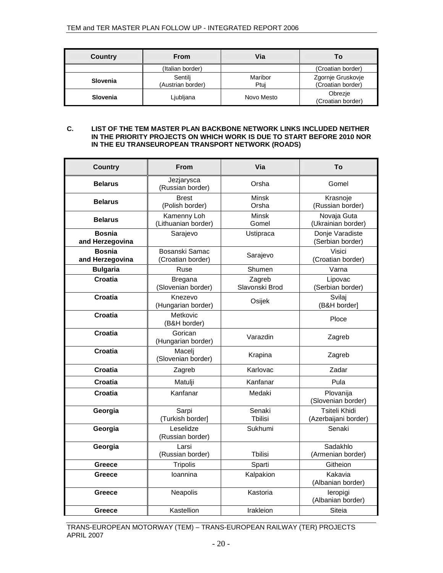| Country  | From                         | Via             | Τo                                     |
|----------|------------------------------|-----------------|----------------------------------------|
|          | (Italian border)             |                 | (Croatian border)                      |
| Slovenia | Sentilj<br>(Austrian border) | Maribor<br>Ptui | Zgornje Gruskovje<br>(Croatian border) |
| Slovenia | Ljubljana                    | Novo Mesto      | Obrezje<br>(Croatian border)           |

#### **C. LIST OF THE TEM MASTER PLAN BACKBONE NETWORK LINKS INCLUDED NEITHER IN THE PRIORITY PROJECTS ON WHICH WORK IS DUE TO START BEFORE 2010 NOR IN THE EU TRANSEUROPEAN TRANSPORT NETWORK (ROADS)**

| <b>Country</b>                   | <b>From</b>                                                      | Via                   | To                                    |
|----------------------------------|------------------------------------------------------------------|-----------------------|---------------------------------------|
| <b>Belarus</b>                   | Jezjarysca<br>(Russian border)                                   | Orsha                 | Gomel                                 |
| <b>Belarus</b>                   | <b>Brest</b><br>(Polish border)                                  | <b>Minsk</b><br>Orsha | Krasnoje<br>(Russian border)          |
| <b>Belarus</b>                   | Kamenny Loh<br>(Lithuanian border)                               | Minsk<br>Gomel        | Novaja Guta<br>(Ukrainian border)     |
| <b>Bosnia</b><br>and Herzegovina | Sarajevo<br>Ustipraca                                            |                       | Donje Varadiste<br>(Serbian border)   |
| <b>Bosnia</b><br>and Herzegovina | Bosanski Samac<br>(Croatian border)                              | Sarajevo              | Visici<br>(Croatian border)           |
| <b>Bulgaria</b>                  | Ruse                                                             | Shumen                | Varna                                 |
| Croatia                          | Zagreb<br><b>Bregana</b><br>Slavonski Brod<br>(Slovenian border) |                       | Lipovac<br>(Serbian border)           |
| <b>Croatia</b>                   | Knezevo<br>Osijek<br>(Hungarian border)                          |                       | Svilai<br>(B&H border)                |
| Croatia                          | Metkovic<br>(B&H border)                                         |                       | Ploce                                 |
| Croatia                          | Gorican<br>(Hungarian border)                                    | Varazdin              | Zagreb                                |
| <b>Croatia</b>                   | Macelj<br>(Slovenian border)                                     | Krapina               | Zagreb                                |
| Croatia                          | Zagreb                                                           | Karlovac              | Zadar                                 |
| Croatia                          | Matulji                                                          | Kanfanar              | Pula                                  |
| Croatia                          | Kanfanar                                                         | Medaki                | Plovanija<br>(Slovenian border)       |
| Georgia                          | Sarpi<br>(Turkish border)                                        | Senaki<br>Tbilisi     | Tsiteli Khidi<br>(Azerbaijani border) |
| Georgia                          | Leselidze<br>(Russian border)                                    | Sukhumi               | Senaki                                |
| Georgia                          | Larsi<br>(Russian border)                                        | <b>T</b> bilisi       | Sadakhlo<br>(Armenian border)         |
| Greece                           | <b>Tripolis</b>                                                  | Sparti                | Githeion                              |
| Greece                           | Ioannina                                                         | Kalpakion             | Kakavia<br>(Albanian border)          |
| Greece                           | Neapolis                                                         | Kastoria              | leropigi<br>(Albanian border)         |
| Greece                           | Kastellion                                                       | Irakleion             | Siteia                                |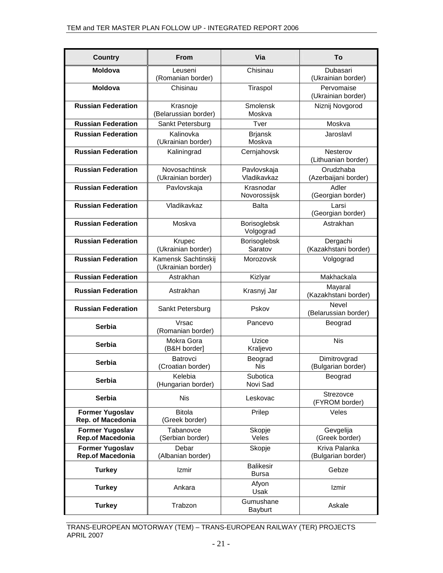| <b>Country</b>                              | <b>From</b>                                            | Via                              | To                                  |
|---------------------------------------------|--------------------------------------------------------|----------------------------------|-------------------------------------|
| <b>Moldova</b>                              | Leuseni<br>(Romanian border)                           | Chisinau                         | Dubasari<br>(Ukrainian border)      |
| <b>Moldova</b>                              | Chisinau                                               | Tiraspol                         | Pervomaise<br>(Ukrainian border)    |
| <b>Russian Federation</b>                   | Krasnoje<br>(Belarussian border)                       | Smolensk<br>Moskva               | Niznij Novgorod                     |
| <b>Russian Federation</b>                   | Sankt Petersburg<br>Tver                               |                                  | Moskva                              |
| <b>Russian Federation</b>                   | Kalinovka<br>(Ukrainian border)                        | <b>Brjansk</b><br>Moskva         | Jaroslavl                           |
| <b>Russian Federation</b>                   | Kaliningrad<br>Cernjahovsk                             |                                  | Nesterov<br>(Lithuanian border)     |
| <b>Russian Federation</b>                   | Novosachtinsk<br>(Ukrainian border)                    | Pavlovskaja<br>Vladikavkaz       | Orudzhaba<br>(Azerbaijani border)   |
| <b>Russian Federation</b>                   | Pavlovskaja                                            | Krasnodar<br>Novorossijsk        | Adler<br>(Georgian border)          |
| <b>Russian Federation</b>                   | Vladikavkaz                                            | Balta                            | Larsi<br>(Georgian border)          |
| <b>Russian Federation</b>                   | Moskva                                                 | Borisoglebsk<br>Volgograd        | Astrakhan                           |
| <b>Russian Federation</b>                   | Krupec<br>(Ukrainian border)                           | Borisoglebsk<br>Saratov          | Dergachi<br>(Kazakhstani border)    |
| <b>Russian Federation</b>                   | Kamensk Sachtinskij<br>Morozovsk<br>(Ukrainian border) |                                  | Volgograd                           |
| <b>Russian Federation</b>                   | Astrakhan                                              | Makhackala<br>Kizlyar            |                                     |
| <b>Russian Federation</b>                   | Astrakhan                                              | Krasnyj Jar                      | Mayaral<br>(Kazakhstani border)     |
| <b>Russian Federation</b>                   | Sankt Petersburg                                       | Pskov                            | Nevel<br>(Belarussian border)       |
| Serbia                                      | Vrsac<br>(Romanian border)                             | Pancevo                          | Beograd                             |
| Serbia                                      | Mokra Gora<br>(B&H border]                             | Uzice<br>Kraljevo                | <b>Nis</b>                          |
| Serbia                                      | Batrovci<br>(Croatian border)                          | Beograd<br><b>Nis</b>            | Dimitrovgrad<br>(Bulgarian border)  |
| Serbia                                      | Kelebia<br>(Hungarian border)                          | Subotica<br>Novi Sad             | Beograd                             |
| <b>Serbia</b>                               | <b>Nis</b>                                             | Leskovac                         | Strezovce<br>(FYROM border)         |
| <b>Former Yugoslav</b><br>Rep. of Macedonia | <b>Bitola</b><br>(Greek border)                        | Prilep                           | Veles                               |
| <b>Former Yugoslav</b><br>Rep.of Macedonia  | Tabanovce<br>(Serbian border)                          | Skopje<br>Veles                  | Gevgelija<br>(Greek border)         |
| <b>Former Yugoslav</b><br>Rep.of Macedonia  | Debar<br>(Albanian border)                             | Skopje                           | Kriva Palanka<br>(Bulgarian border) |
| <b>Turkey</b>                               | Izmir                                                  | <b>Balikesir</b><br><b>Bursa</b> | Gebze                               |
| <b>Turkey</b>                               | Ankara                                                 | Afyon<br>Usak                    | <b>Izmir</b>                        |
| <b>Turkey</b>                               | Trabzon                                                | Gumushane<br>Bayburt             | Askale                              |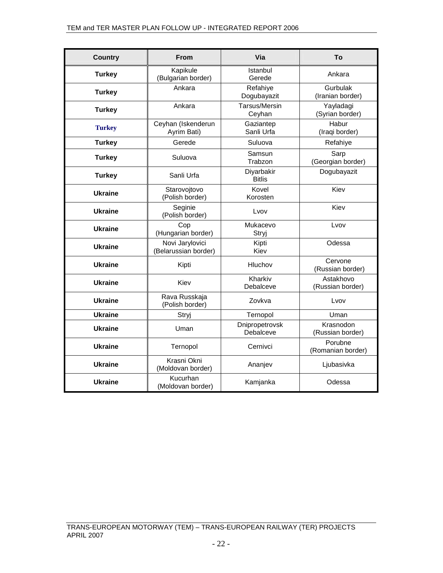| <b>Country</b> | From                                    | Via                         | To                            |
|----------------|-----------------------------------------|-----------------------------|-------------------------------|
| <b>Turkey</b>  | Kapikule<br>(Bulgarian border)          | Istanbul<br>Gerede          | Ankara                        |
| <b>Turkey</b>  | Ankara                                  | Refahiye<br>Dogubayazit     | Gurbulak<br>(Iranian border)  |
| <b>Turkey</b>  | Ankara                                  | Tarsus/Mersin<br>Ceyhan     | Yayladagi<br>(Syrian border)  |
| <b>Turkey</b>  | Ceyhan (Iskenderun<br>Ayrim Bati)       | Gaziantep<br>Sanli Urfa     | Habur<br>(Iraqi border)       |
| <b>Turkey</b>  | Gerede                                  | Suluova                     | Refahiye                      |
| <b>Turkey</b>  | Suluova                                 | Samsun<br>Trabzon           | Sarp<br>(Georgian border)     |
| <b>Turkey</b>  | Sanli Urfa                              | Diyarbakir<br><b>Bitlis</b> | Dogubayazit                   |
| <b>Ukraine</b> | Starovojtovo<br>(Polish border)         | Kovel<br>Korosten           | Kiev                          |
| <b>Ukraine</b> | Seginie<br>(Polish border)              | Lvov                        | Kiev                          |
| <b>Ukraine</b> | Cop<br>(Hungarian border)               | Mukacevo<br>Stryj           | Lvov                          |
| <b>Ukraine</b> | Novi Jarylovici<br>(Belarussian border) | Kipti<br>Kiev               | Odessa                        |
| <b>Ukraine</b> | Kipti                                   | Hluchov                     | Cervone<br>(Russian border)   |
| <b>Ukraine</b> | Kiev                                    | Kharkiv<br>Debalceve        | Astakhovo<br>(Russian border) |
| <b>Ukraine</b> | Rava Russkaja<br>(Polish border)        | Zovkva                      | Lvov                          |
| <b>Ukraine</b> | Stryj                                   | Ternopol                    | Uman                          |
| <b>Ukraine</b> | Uman                                    | Dnipropetrovsk<br>Debalceve | Krasnodon<br>(Russian border) |
| <b>Ukraine</b> | Ternopol                                | Cernivci                    | Porubne<br>(Romanian border)  |
| <b>Ukraine</b> | Krasni Okni<br>(Moldovan border)        | Ananjev                     | Ljubasivka                    |
| <b>Ukraine</b> | Kucurhan<br>(Moldovan border)           | Kamjanka                    | Odessa                        |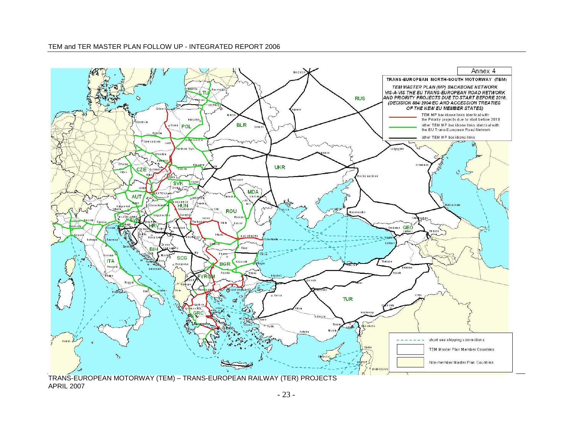#### TEM and TER MASTER PLAN FOLLOW UP - INTEGRATED REPORT 2006



TRANS-EUROPEAN MOTORWAY (TEM) – TRANS-EUROPEAN RAILWAY (TER) PROJECTS APRIL 2007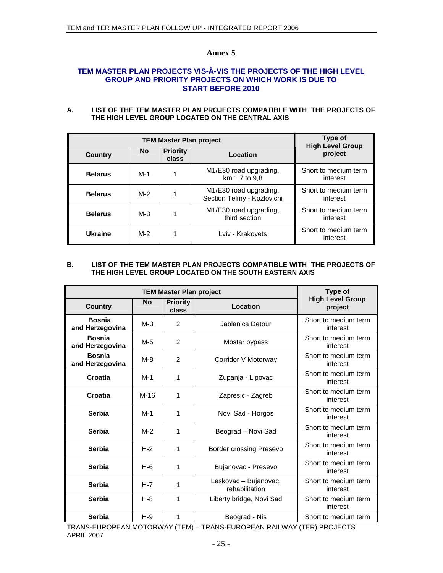## **TEM MASTER PLAN PROJECTS VIS-À-VIS THE PROJECTS OF THE HIGH LEVEL GROUP AND PRIORITY PROJECTS ON WHICH WORK IS DUE TO START BEFORE 2010**

### **A. LIST OF THE TEM MASTER PLAN PROJECTS COMPATIBLE WITH THE PROJECTS OF THE HIGH LEVEL GROUP LOCATED ON THE CENTRAL AXIS**

| <b>TEM Master Plan project</b> |           |                          |                                                      | Type of<br><b>High Level Group</b> |  |
|--------------------------------|-----------|--------------------------|------------------------------------------------------|------------------------------------|--|
| Country                        | <b>No</b> | <b>Priority</b><br>class | Location                                             | project                            |  |
| <b>Belarus</b>                 | M-1       |                          | M1/E30 road upgrading,<br>km 1,7 to 9,8              | Short to medium term<br>interest   |  |
| <b>Belarus</b>                 | $M-2$     |                          | M1/E30 road upgrading,<br>Section Telmy - Kozlovichi | Short to medium term<br>interest   |  |
| <b>Belarus</b>                 | $M-3$     |                          | M1/E30 road upgrading,<br>third section              | Short to medium term<br>interest   |  |
| Ukraine                        | M-2       |                          | Lviv - Krakovets                                     | Short to medium term<br>interest   |  |

#### **B. LIST OF THE TEM MASTER PLAN PROJECTS COMPATIBLE WITH THE PROJECTS OF THE HIGH LEVEL GROUP LOCATED ON THE SOUTH EASTERN AXIS**

| <b>TEM Master Plan project</b>   |         |                          |                                         | Type of                            |
|----------------------------------|---------|--------------------------|-----------------------------------------|------------------------------------|
| <b>Country</b>                   | No      | <b>Priority</b><br>class | Location                                | <b>High Level Group</b><br>project |
| <b>Bosnia</b><br>and Herzegovina | $M-3$   | 2                        | Jablanica Detour                        | Short to medium term<br>interest   |
| <b>Bosnia</b><br>and Herzegovina | M-5     | $\mathcal{P}$            | Mostar bypass                           | Short to medium term<br>interest   |
| <b>Bosnia</b><br>and Herzegovina | $M-8$   | $\overline{2}$           | Corridor V Motorway                     | Short to medium term<br>interest   |
| Croatia                          | $M-1$   | 1                        | Zupanja - Lipovac                       | Short to medium term<br>interest   |
| Croatia                          | $M-16$  | 1                        | Zapresic - Zagreb                       | Short to medium term<br>interest   |
| Serbia                           | M-1     | 1                        | Novi Sad - Horgos                       | Short to medium term<br>interest   |
| <b>Serbia</b>                    | $M-2$   | 1                        | Beograd - Novi Sad                      | Short to medium term<br>interest   |
| <b>Serbia</b>                    | $H-2$   | 1                        | <b>Border crossing Presevo</b>          | Short to medium term<br>interest   |
| <b>Serbia</b>                    | H-6     | 1                        | Bujanovac - Presevo                     | Short to medium term<br>interest   |
| <b>Serbia</b>                    | $H - 7$ | 1                        | Leskovac - Bujanovac,<br>rehabilitation | Short to medium term<br>interest   |
| Serbia                           | $H - 8$ | 1                        | Liberty bridge, Novi Sad                | Short to medium term<br>interest   |
| <b>Serbia</b>                    | $H-9$   | 1                        | Beograd - Nis                           | Short to medium term               |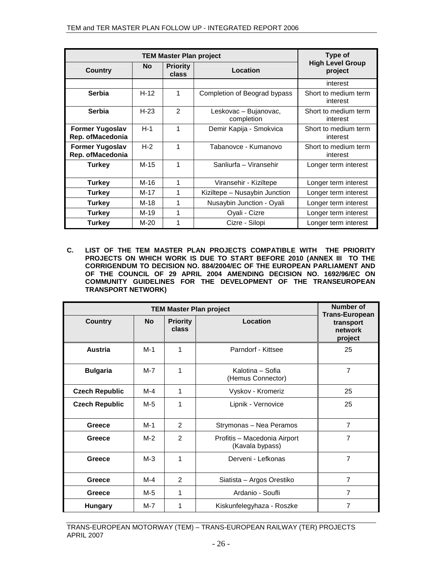| <b>TEM Master Plan project</b>             |           |                          |                                     | Type of                            |
|--------------------------------------------|-----------|--------------------------|-------------------------------------|------------------------------------|
| Country                                    | <b>No</b> | <b>Priority</b><br>class | Location                            | <b>High Level Group</b><br>project |
|                                            |           |                          |                                     | interest                           |
| <b>Serbia</b>                              | $H-12$    | 1                        | Completion of Beograd bypass        | Short to medium term<br>interest   |
| <b>Serbia</b>                              | $H-23$    | $\mathcal{P}$            | Leskovac - Bujanovac,<br>completion | Short to medium term<br>interest   |
| <b>Former Yugoslav</b><br>Rep. ofMacedonia | $H-1$     | 1                        | Demir Kapija - Smokvica             | Short to medium term<br>interest   |
| <b>Former Yugoslav</b><br>Rep. ofMacedonia | $H-2$     | 1                        | Tabanovce - Kumanovo                | Short to medium term<br>interest   |
| <b>Turkey</b>                              | $M-15$    | 1                        | Sanliurfa - Viransehir              | Longer term interest               |
| <b>Turkey</b>                              | $M-16$    | 1                        | Viransehir - Kiziltepe              | Longer term interest               |
| <b>Turkey</b>                              | M-17      | 1                        | Kiziltepe - Nusaybin Junction       | Longer term interest               |
| <b>Turkey</b>                              | M-18      | 1                        | Nusaybin Junction - Oyali           | Longer term interest               |
| <b>Turkey</b>                              | M-19      | 1                        | Oyali - Cizre                       | Longer term interest               |
| <b>Turkey</b>                              | $M-20$    | 1                        | Cizre - Silopi                      | Longer term interest               |

**C. LIST OF THE TEM MASTER PLAN PROJECTS COMPATIBLE WITH THE PRIORITY PROJECTS ON WHICH WORK IS DUE TO START BEFORE 2010 (ANNEX III TO THE CORRIGENDUM TO DECISION NO. 884/2004/EC OF THE EUROPEAN PARLIAMENT AND OF THE COUNCIL OF 29 APRIL 2004 AMENDING DECISION NO. 1692/96/EC ON COMMUNITY GUIDELINES FOR THE DEVELOPMENT OF THE TRANSEUROPEAN TRANSPORT NETWORK)** 

| <b>TEM Master Plan project</b> |           |                          |                                                 | <b>Number of</b><br><b>Trans-European</b> |
|--------------------------------|-----------|--------------------------|-------------------------------------------------|-------------------------------------------|
| Country                        | <b>No</b> | <b>Priority</b><br>class | Location                                        | transport<br>network<br>project           |
| Austria                        | $M-1$     | 1                        | Parndorf - Kittsee                              | 25                                        |
| <b>Bulgaria</b>                | $M - 7$   | 1                        | Kalotina – Sofia<br>(Hemus Connector)           | $\overline{7}$                            |
| <b>Czech Republic</b>          | M-4       | 1                        | Vyskov - Kromeriz                               | 25                                        |
| <b>Czech Republic</b>          | $M-5$     | 1                        | Lipnik - Vernovice                              | 25                                        |
| Greece                         | $M-1$     | $\mathcal{P}$            | Strymonas - Nea Peramos                         | $\overline{7}$                            |
| Greece                         | $M-2$     | 2                        | Profitis - Macedonia Airport<br>(Kavala bypass) | $\overline{7}$                            |
| Greece                         | $M-3$     | 1                        | Derveni - Lefkonas                              | $\overline{7}$                            |
| Greece                         | $M-4$     | $\mathcal{P}$            | Siatista - Argos Orestiko                       | $\overline{7}$                            |
| Greece                         | $M-5$     | 1                        | Ardanio - Soufli                                | $\overline{7}$                            |
| <b>Hungary</b>                 | M-7       | 1                        | Kiskunfelegyhaza - Roszke                       | $\overline{7}$                            |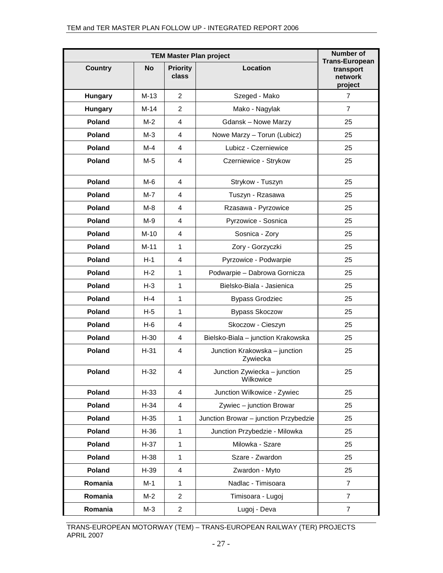|                | <b>Number of</b> |                          |                                           |                                                          |
|----------------|------------------|--------------------------|-------------------------------------------|----------------------------------------------------------|
| <b>Country</b> | <b>No</b>        | <b>Priority</b><br>class | Location                                  | <b>Trans-European</b><br>transport<br>network<br>project |
| Hungary        | $M-13$           | $\overline{2}$           | Szeged - Mako                             | 7                                                        |
| Hungary        | $M-14$           | $\overline{2}$           | Mako - Nagylak                            | $\overline{7}$                                           |
| Poland         | $M-2$            | 4                        | <b>Gdansk - Nowe Marzy</b>                | 25                                                       |
| <b>Poland</b>  | $M-3$            | 4                        | Nowe Marzy - Torun (Lubicz)               | 25                                                       |
| <b>Poland</b>  | M-4              | $\overline{4}$           | Lubicz - Czerniewice                      | 25                                                       |
| Poland         | $M-5$            | 4                        | Czerniewice - Strykow                     | 25                                                       |
| <b>Poland</b>  | M-6              | $\overline{4}$           | Strykow - Tuszyn                          | 25                                                       |
| <b>Poland</b>  | $M-7$            | 4                        | Tuszyn - Rzasawa                          | 25                                                       |
| <b>Poland</b>  | M-8              | 4                        | Rzasawa - Pyrzowice                       | 25                                                       |
| <b>Poland</b>  | M-9              | 4                        | Pyrzowice - Sosnica                       | 25                                                       |
| <b>Poland</b>  | $M-10$           | 4                        | Sosnica - Zory                            | 25                                                       |
| <b>Poland</b>  | $M-11$           | $\mathbf{1}$             | Zory - Gorzyczki                          | 25                                                       |
| <b>Poland</b>  | $H-1$            | 4                        | Pyrzowice - Podwarpie                     | 25                                                       |
| <b>Poland</b>  | $H-2$            | $\mathbf{1}$             | Podwarpie - Dabrowa Gornicza              | 25                                                       |
| <b>Poland</b>  | $H-3$            | $\mathbf{1}$             | Bielsko-Biala - Jasienica                 | 25                                                       |
| Poland         | $H-4$            | $\mathbf{1}$             | <b>Bypass Grodziec</b>                    | 25                                                       |
| <b>Poland</b>  | H-5              | $\mathbf{1}$             | <b>Bypass Skoczow</b>                     | 25                                                       |
| <b>Poland</b>  | H-6              | 4                        | Skoczow - Cieszyn                         | 25                                                       |
| Poland         | $H-30$           | 4                        | Bielsko-Biala - junction Krakowska        | 25                                                       |
| Poland         | $H-31$           | 4                        | Junction Krakowska - junction<br>Zywiecka | 25                                                       |
| Poland         | H-32             | $\overline{4}$           | Junction Zywiecka - junction<br>Wilkowice | 25                                                       |
| Poland         | $H-33$           | $\overline{4}$           | Junction Wilkowice - Zywiec               | 25                                                       |
| Poland         | $H-34$           | 4                        | Zywiec - junction Browar                  | 25                                                       |
| Poland         | $H-35$           | $\mathbf{1}$             | Junction Browar - junction Przybedzie     | 25                                                       |
| Poland         | $H-36$           | $\mathbf{1}$             | Junction Przybedzie - Milowka             | 25                                                       |
| Poland         | $H-37$           | $\mathbf{1}$             | Milowka - Szare                           | 25                                                       |
| Poland         | $H-38$           | $\mathbf{1}$             | Szare - Zwardon                           | 25                                                       |
| Poland         | $H-39$           | 4                        | Zwardon - Myto                            | 25                                                       |
| Romania        | M-1              | 1                        | Nadlac - Timisoara                        | $\overline{7}$                                           |
| Romania        | $M-2$            | $\overline{2}$           | Timisoara - Lugoj                         | $\overline{7}$                                           |
| Romania        | M-3              | $\overline{a}$           | Lugoj - Deva                              | $\overline{7}$                                           |

TRANS-EUROPEAN MOTORWAY (TEM) – TRANS-EUROPEAN RAILWAY (TER) PROJECTS APRIL 2007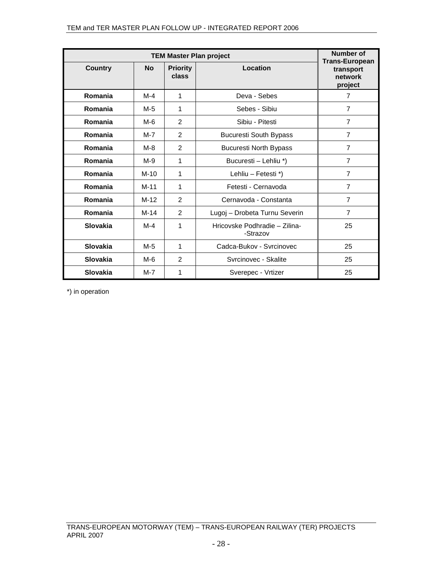| <b>TEM Master Plan project</b> |           |                          |                                           | Number of<br><b>Trans-European</b> |  |
|--------------------------------|-----------|--------------------------|-------------------------------------------|------------------------------------|--|
| <b>Country</b>                 | <b>No</b> | <b>Priority</b><br>class | Location                                  | transport<br>network<br>project    |  |
| Romania                        | $M-4$     | 1                        | Deva - Sebes                              | 7                                  |  |
| Romania                        | $M-5$     | 1                        | Sebes - Sibiu                             | $\overline{7}$                     |  |
| Romania                        | $M-6$     | $\mathcal{P}$            | Sibiu - Pitesti                           | $\overline{7}$                     |  |
| Romania                        | M-7       | 2                        | <b>Bucuresti South Bypass</b>             | $\overline{7}$                     |  |
| Romania                        | $M-8$     | 2                        | <b>Bucuresti North Bypass</b>             | $\overline{7}$                     |  |
| Romania                        | $M-9$     | 1                        | Bucuresti - Lehliu *)                     | $\overline{7}$                     |  |
| Romania                        | $M-10$    | 1                        | Lehliu - Fetesti *)                       | $\overline{7}$                     |  |
| Romania                        | $M-11$    | 1                        | Fetesti - Cernavoda                       | $\overline{7}$                     |  |
| Romania                        | $M-12$    | $\mathcal{P}$            | Cernavoda - Constanta                     | $\overline{7}$                     |  |
| Romania                        | $M-14$    | 2                        | Lugoj - Drobeta Turnu Severin             | $\overline{7}$                     |  |
| Slovakia                       | M-4       | 1                        | Hricovske Podhradie - Zilina-<br>-Strazov | 25                                 |  |
| Slovakia                       | $M-5$     | 1                        | Cadca-Bukov - Syrcinovec                  | 25                                 |  |
| Slovakia                       | M-6       | $\mathcal{P}$            | Syrcinovec - Skalite                      | 25                                 |  |
| Slovakia                       | $M-7$     | 1                        | Sverepec - Vrtizer                        | 25                                 |  |

\*) in operation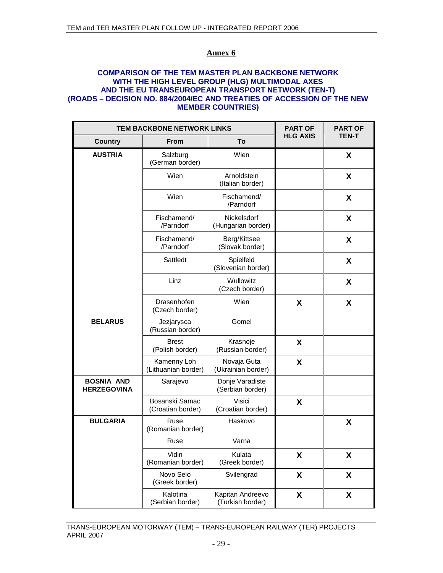## **COMPARISON OF THE TEM MASTER PLAN BACKBONE NETWORK WITH THE HIGH LEVEL GROUP (HLG) MULTIMODAL AXES AND THE EU TRANSEUROPEAN TRANSPORT NETWORK (TEN-T) (ROADS – DECISION NO. 884/2004/EC AND TREATIES OF ACCESSION OF THE NEW MEMBER COUNTRIES)**

| TEM BACKBONE NETWORK LINKS              | <b>PART OF</b>                      | <b>PART OF</b>                       |                 |              |
|-----------------------------------------|-------------------------------------|--------------------------------------|-----------------|--------------|
| Country                                 | <b>From</b>                         | To                                   | <b>HLG AXIS</b> | <b>TEN-T</b> |
| <b>AUSTRIA</b>                          | Salzburg<br>(German border)         | Wien                                 |                 | X            |
|                                         | Wien                                | Arnoldstein<br>(Italian border)      |                 | X            |
|                                         | Wien                                | Fischamend/<br>/Parndorf             |                 | X            |
|                                         | Fischamend/<br>/Parndorf            | Nickelsdorf<br>(Hungarian border)    |                 | X            |
|                                         | Fischamend/<br>/Parndorf            | Berg/Kittsee<br>(Slovak border)      |                 | X            |
|                                         | Sattledt                            | Spielfeld<br>(Slovenian border)      |                 | X            |
|                                         | Linz                                | Wullowitz<br>(Czech border)          |                 | X            |
|                                         | Drasenhofen<br>(Czech border)       | Wien                                 | X               | X            |
| <b>BELARUS</b>                          | Jezjarysca<br>(Russian border)      | Gomel                                |                 |              |
|                                         | <b>Brest</b><br>(Polish border)     | Krasnoje<br>(Russian border)         | X               |              |
|                                         | Kamenny Loh<br>(Lithuanian border)  | Novaja Guta<br>(Ukrainian border)    | X               |              |
| <b>BOSNIA AND</b><br><b>HERZEGOVINA</b> | Sarajevo                            | Donje Varadiste<br>(Serbian border)  |                 |              |
|                                         | Bosanski Samac<br>(Croatian border) | Visici<br>(Croatian border)          | X               |              |
| <b>BULGARIA</b>                         | Ruse<br>(Romanian border)           | Haskovo                              |                 | X            |
|                                         | Ruse                                | Varna                                |                 |              |
|                                         | Vidin<br>(Romanian border)          | Kulata<br>(Greek border)             | X               | X            |
|                                         | Novo Selo<br>(Greek border)         | Svilengrad                           | X               | X            |
|                                         | Kalotina<br>(Serbian border)        | Kapitan Andreevo<br>(Turkish border) | X               | X            |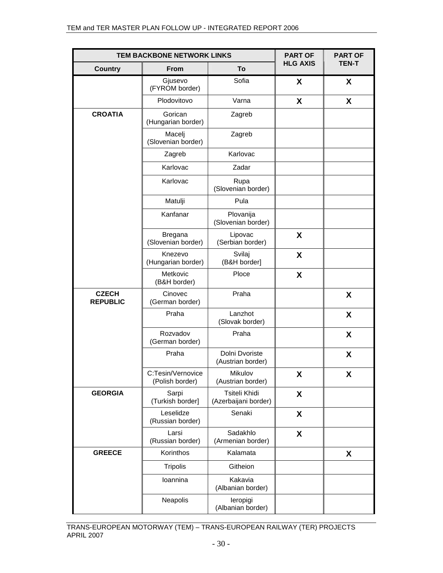| TEM BACKBONE NETWORK LINKS      | <b>PART OF</b>                       | <b>PART OF</b>                        |                 |              |
|---------------------------------|--------------------------------------|---------------------------------------|-----------------|--------------|
| <b>Country</b>                  | <b>From</b>                          | To                                    | <b>HLG AXIS</b> | <b>TEN-T</b> |
|                                 | Gjusevo<br>(FYROM border)            | Sofia                                 | X               | X            |
|                                 | Plodovitovo                          | Varna                                 | X               | X            |
| <b>CROATIA</b>                  | Gorican<br>(Hungarian border)        | Zagreb                                |                 |              |
|                                 | Macelj<br>(Slovenian border)         | Zagreb                                |                 |              |
|                                 | Zagreb                               | Karlovac                              |                 |              |
|                                 | Karlovac                             | Zadar                                 |                 |              |
|                                 | Karlovac                             | Rupa<br>(Slovenian border)            |                 |              |
|                                 | Matulji                              | Pula                                  |                 |              |
|                                 | Kanfanar                             | Plovanija<br>(Slovenian border)       |                 |              |
|                                 | <b>Bregana</b><br>(Slovenian border) | Lipovac<br>(Serbian border)           | X               |              |
|                                 | Knezevo<br>(Hungarian border)        | Svilaj<br>(B&H border]                | X               |              |
|                                 | Metkovic<br>(B&H border)             | Ploce                                 | X               |              |
| <b>CZECH</b><br><b>REPUBLIC</b> | Cinovec<br>(German border)           | Praha                                 |                 | X            |
|                                 | Praha                                | Lanzhot<br>(Slovak border)            |                 | X            |
|                                 | Rozvadov<br>(German border)          | Praha                                 |                 | X            |
|                                 | Praha                                | Dolni Dvoriste<br>(Austrian border)   |                 | X            |
|                                 | C:Tesin/Vernovice<br>(Polish border) | Mikulov<br>(Austrian border)          | X               | X            |
| <b>GEORGIA</b>                  | Sarpi<br>(Turkish border]            | Tsiteli Khidi<br>(Azerbaijani border) | X               |              |
|                                 | Leselidze<br>(Russian border)        | Senaki                                | X               |              |
|                                 | Larsi<br>(Russian border)            | Sadakhlo<br>(Armenian border)         | X               |              |
| <b>GREECE</b>                   | Korinthos                            | Kalamata                              |                 | X            |
|                                 | <b>Tripolis</b>                      | Githeion                              |                 |              |
|                                 | Ioannina                             | Kakavia<br>(Albanian border)          |                 |              |
|                                 | Neapolis                             | leropigi<br>(Albanian border)         |                 |              |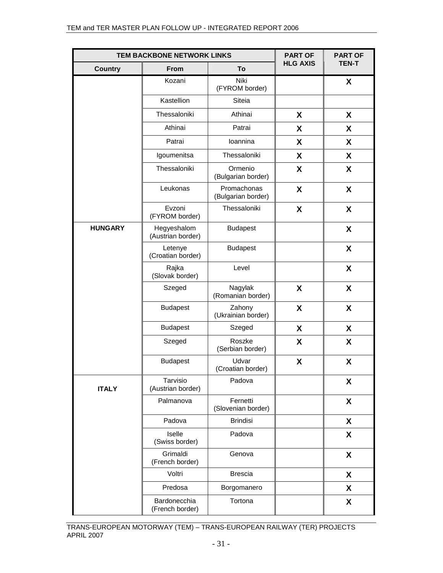|                | TEM BACKBONE NETWORK LINKS       |                                   | <b>PART OF</b>  | <b>PART OF</b> |
|----------------|----------------------------------|-----------------------------------|-----------------|----------------|
| <b>Country</b> | <b>From</b>                      | To                                | <b>HLG AXIS</b> | <b>TEN-T</b>   |
|                | Kozani                           | Niki<br>(FYROM border)            |                 | X              |
|                | Kastellion                       | Siteia                            |                 |                |
|                | Thessaloniki                     | Athinai                           | X               | X              |
|                | Athinai                          | Patrai                            | X               | X              |
|                | Patrai                           | loannina                          | X               | X              |
|                | Igoumenitsa                      | Thessaloniki                      | X               | X              |
|                | Thessaloniki                     | Ormenio<br>(Bulgarian border)     | X               | X              |
|                | Leukonas                         | Promachonas<br>(Bulgarian border) | X               | X              |
|                | Evzoni<br>(FYROM border)         | Thessaloniki                      | X               | X              |
| <b>HUNGARY</b> | Hegyeshalom<br>(Austrian border) | <b>Budapest</b>                   |                 | X              |
|                | Letenye<br>(Croatian border)     | <b>Budapest</b>                   |                 | X              |
|                | Rajka<br>(Slovak border)         | Level                             |                 | X              |
|                | Szeged                           | Nagylak<br>(Romanian border)      | X               | X              |
|                | <b>Budapest</b>                  | Zahony<br>(Ukrainian border)      | X               | X              |
|                | <b>Budapest</b>                  | Szeged                            | X               | X              |
|                | Szeged                           | Roszke<br>(Serbian border)        | X               | X              |
|                | <b>Budapest</b>                  | Udvar<br>(Croatian border)        | X               | X              |
| <b>ITALY</b>   | Tarvisio<br>(Austrian border)    | Padova                            |                 | X              |
|                | Palmanova                        | Fernetti<br>(Slovenian border)    |                 | X              |
|                | Padova                           | <b>Brindisi</b>                   |                 | X              |
|                | Iselle<br>(Swiss border)         | Padova                            |                 | X              |
|                | Grimaldi<br>(French border)      | Genova                            |                 | X              |
|                | Voltri                           | <b>Brescia</b>                    |                 | X              |
|                | Predosa                          | Borgomanero                       |                 | X              |
|                | Bardonecchia<br>(French border)  | Tortona                           |                 | X              |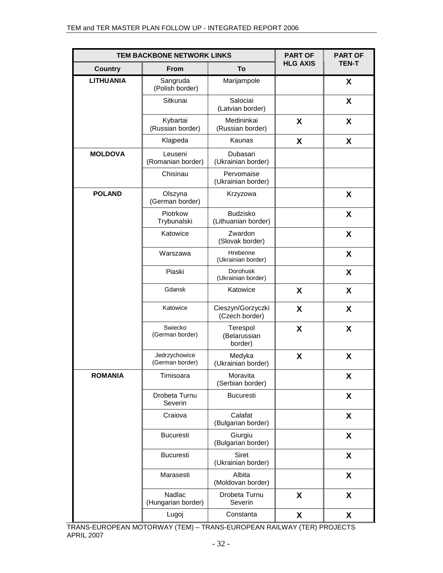| TEM BACKBONE NETWORK LINKS |                                     |                                        | <b>PART OF</b>  | <b>PART OF</b> |
|----------------------------|-------------------------------------|----------------------------------------|-----------------|----------------|
| <b>Country</b>             | <b>From</b>                         | To                                     | <b>HLG AXIS</b> | <b>TEN-T</b>   |
| <b>LITHUANIA</b>           | Sangruda<br>(Polish border)         | Marijampole                            |                 | X              |
|                            | Sitkunai                            | Salociai<br>(Latvian border)           |                 | X              |
|                            | Kybartai<br>(Russian border)        | Medininkai<br>(Russian border)         | X               | X              |
|                            | Klajpeda                            | Kaunas                                 | X               | X              |
| <b>MOLDOVA</b>             | Leuseni<br>(Romanian border)        | Dubasari<br>(Ukrainian border)         |                 |                |
|                            | Chisinau                            | Pervomaise<br>(Ukrainian border)       |                 |                |
| <b>POLAND</b>              | Olszyna<br>(German border)          | Krzyzowa                               |                 | X              |
|                            | Piotrkow<br>Trybunalski             | <b>Budzisko</b><br>(Lithuanian border) |                 | X              |
|                            | Katowice                            | Zwardon<br>(Slovak border)             |                 | X              |
|                            | Warszawa                            | Hrebenne<br>(Ukrainian border)         |                 | X              |
|                            | Piaski                              | <b>Dorohusk</b><br>(Ukrainian border)  |                 | X              |
|                            | Gdansk                              | Katowice                               | X               | X              |
|                            | Katowice                            | Cieszyn/Gorzyczki<br>(Czech border)    | X               | X              |
|                            | Swiecko<br>(German border)          | Terespol<br>(Belarussian<br>border)    | X               | X              |
|                            | Jedrzychowice<br>(German border)    | Medyka<br>(Ukrainian border)           | X               | X              |
| <b>ROMANIA</b>             | Timisoara                           | Moravita<br>(Serbian border)           |                 | X              |
|                            | Drobeta Turnu<br>Severin            | <b>Bucuresti</b>                       |                 | X              |
|                            | Craiova                             | Calafat<br>(Bulgarian border)          |                 | X              |
|                            | <b>Bucuresti</b>                    | Giurgiu<br>(Bulgarian border)          |                 | X              |
|                            | <b>Bucuresti</b>                    | Siret<br>(Ukrainian border)            |                 | X              |
|                            | Marasesti                           | Albita<br>(Moldovan border)            |                 | X              |
|                            | <b>Nadlac</b><br>(Hungarian border) | Drobeta Turnu<br>Severin               | X               | X              |
|                            | Lugoj                               | Constanta                              | X               | X              |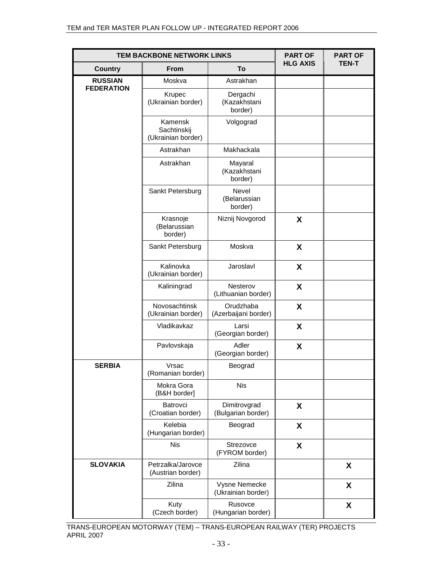| <b>TEM BACKBONE NETWORK LINKS</b>   |                                              |                                     | <b>PART OF</b>  | <b>PART OF</b> |
|-------------------------------------|----------------------------------------------|-------------------------------------|-----------------|----------------|
| <b>Country</b>                      | <b>From</b>                                  | To                                  | <b>HLG AXIS</b> | <b>TEN-T</b>   |
| <b>RUSSIAN</b><br><b>FEDERATION</b> | Moskva                                       | Astrakhan                           |                 |                |
|                                     | Krupec<br>(Ukrainian border)                 | Dergachi<br>(Kazakhstani<br>border) |                 |                |
|                                     | Kamensk<br>Sachtinskij<br>(Ukrainian border) | Volgograd                           |                 |                |
|                                     | Astrakhan                                    | Makhackala                          |                 |                |
|                                     | Astrakhan                                    | Mayaral<br>(Kazakhstani<br>border)  |                 |                |
|                                     | Sankt Petersburg                             | Nevel<br>(Belarussian<br>border)    |                 |                |
|                                     | Krasnoje<br>(Belarussian<br>border)          | Niznij Novgorod                     | X               |                |
|                                     | Sankt Petersburg                             | Moskva                              | X               |                |
|                                     | Kalinovka<br>(Ukrainian border)              | Jaroslavl                           | X               |                |
|                                     | Kaliningrad                                  | Nesterov<br>(Lithuanian border)     | X               |                |
|                                     | Novosachtinsk<br>(Ukrainian border)          | Orudzhaba<br>(Azerbaijani border)   | X               |                |
|                                     | Vladikavkaz                                  | Larsi<br>(Georgian border)          | X               |                |
|                                     | Pavlovskaja                                  | Adler<br>(Georgian border)          | X               |                |
| <b>SERBIA</b>                       | Vrsac<br>(Romanian border)                   | Beograd                             |                 |                |
|                                     | Mokra Gora<br>(B&H border]                   | <b>Nis</b>                          |                 |                |
|                                     | Batrovci<br>(Croatian border)                | Dimitrovgrad<br>(Bulgarian border)  | X               |                |
|                                     | Kelebia<br>(Hungarian border)                | Beograd                             | X               |                |
|                                     | <b>Nis</b>                                   | Strezovce<br>(FYROM border)         | X               |                |
| <b>SLOVAKIA</b>                     | Petrzalka/Jarovce<br>(Austrian border)       | Zilina                              |                 | X              |
|                                     | Zilina                                       | Vysne Nemecke<br>(Ukrainian border) |                 | X              |
|                                     | Kuty<br>(Czech border)                       | Rusovce<br>(Hungarian border)       |                 | X              |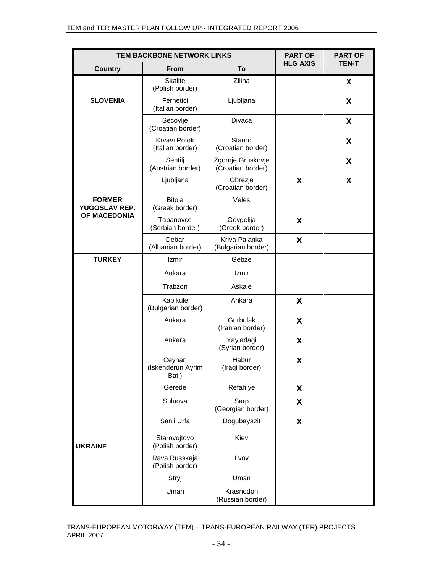| <b>TEM BACKBONE NETWORK LINKS</b>              |                                         |                                        | <b>PART OF</b>  | <b>PART OF</b> |
|------------------------------------------------|-----------------------------------------|----------------------------------------|-----------------|----------------|
| <b>Country</b>                                 | <b>From</b>                             | To                                     | <b>HLG AXIS</b> | <b>TEN-T</b>   |
|                                                | <b>Skalite</b><br>(Polish border)       | Zilina                                 |                 | X              |
| <b>SLOVENIA</b>                                | Fernetici<br>(Italian border)           | Ljubljana                              |                 | X              |
|                                                | Secovlje<br>(Croatian border)           | Divaca                                 |                 | X              |
|                                                | <b>Krvavi Potok</b><br>(Italian border) | Starod<br>(Croatian border)            |                 | X              |
|                                                | Sentilj<br>(Austrian border)            | Zgornje Gruskovje<br>(Croatian border) |                 | X              |
|                                                | Ljubljana                               | Obrezje<br>(Croatian border)           | X               | X              |
| <b>FORMER</b><br>YUGOSLAV REP.<br>OF MACEDONIA | <b>Bitola</b><br>(Greek border)         | Veles                                  |                 |                |
|                                                | Tabanovce<br>(Serbian border)           | Gevgelija<br>(Greek border)            | X               |                |
|                                                | Debar<br>(Albanian border)              | Kriva Palanka<br>(Bulgarian border)    | X               |                |
| <b>TURKEY</b>                                  | Izmir                                   | Gebze                                  |                 |                |
|                                                | Ankara                                  | Izmir                                  |                 |                |
|                                                | Trabzon                                 | Askale                                 |                 |                |
|                                                | Kapikule<br>(Bulgarian border)          | Ankara                                 | X               |                |
|                                                | Ankara                                  | Gurbulak<br>(Iranian border)           | X               |                |
|                                                | Ankara                                  | Yayladagi<br>(Syrian border)           | X               |                |
|                                                | Ceyhan<br>(Iskenderun Ayrim<br>Bati)    | Habur<br>(Iraqi border)                | X               |                |
|                                                | Gerede                                  | Refahiye                               | X               |                |
|                                                | Suluova                                 | Sarp<br>(Georgian border)              | X               |                |
|                                                | Sanli Urfa                              | Dogubayazit                            | X               |                |
| <b>UKRAINE</b>                                 | Starovojtovo<br>(Polish border)         | Kiev                                   |                 |                |
|                                                | Rava Russkaja<br>(Polish border)        | Lvov                                   |                 |                |
|                                                | Stryj                                   | Uman                                   |                 |                |
|                                                | Uman                                    | Krasnodon<br>(Russian border)          |                 |                |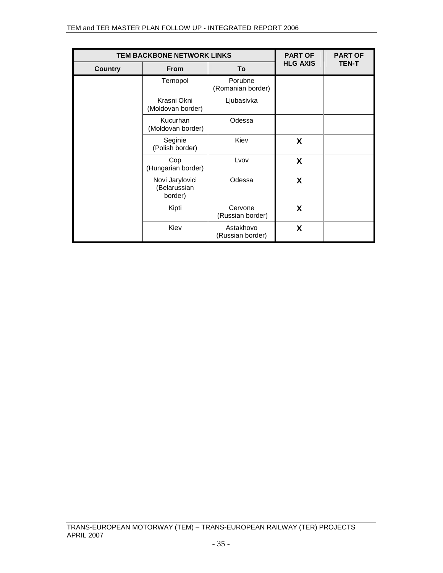| <b>TEM BACKBONE NETWORK LINKS</b> |                                            |                               | <b>PART OF</b>  | <b>PART OF</b> |
|-----------------------------------|--------------------------------------------|-------------------------------|-----------------|----------------|
| <b>Country</b>                    | <b>From</b>                                | To                            | <b>HLG AXIS</b> | <b>TEN-T</b>   |
|                                   | Ternopol                                   | Porubne<br>(Romanian border)  |                 |                |
|                                   | Krasni Okni<br>(Moldovan border)           | Ljubasivka                    |                 |                |
|                                   | Kucurhan<br>(Moldovan border)              | Odessa                        |                 |                |
|                                   | Seginie<br>(Polish border)                 | Kiev                          | X               |                |
|                                   | Cop<br>(Hungarian border)                  | Lvov                          | X               |                |
|                                   | Novi Jarylovici<br>(Belarussian<br>border) | Odessa                        | X               |                |
|                                   | Kipti                                      | Cervone<br>(Russian border)   | X               |                |
|                                   | Kiev                                       | Astakhovo<br>(Russian border) | X               |                |